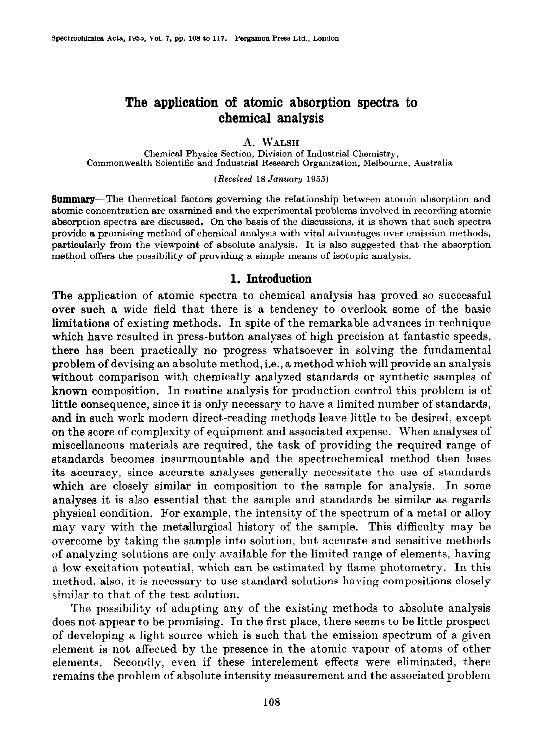# The application of atomic absorption spectra to chemical analysis

A. **WALSH** 

**Chemical Physics Section, Division of Industrial Chemistry, Commonwealth Scientific and Industrial Research Organization, Melbourne, Australia** 

**(Received 18 January 1955)** 

**Summary-The theoretical factors governing the relationship between atomic absorption and atomic concentration are examined and the experimental problems involved in recording atomic absorption spectra are discussed. On the basis of the discussions, it is shown that such spectra provide a promising method of chemical analysis with vital advantages over emission methods, particularly from the viewpoint of absolute analysis. It is also suggested that the absorption method offers the possibility of providing a simple means of isotopic analysis.** 

### 1. Introduction

The application of atomic spectra to chemical analysis has proved so successful over such a wide field that there is a tendency to overlook some of the basic limitations of existing methods. In spite of the remarkable advances in technique which have resulted in press-button analyses of high precision at fantastic speeds, there has been practically no progress whatsoever in solving the fundamental problem of devising an absolute method, i.e., a method which will provide an analysis without comparison with chemically analyzed standards or synthetic samples of known composition. In routine analysis for production control this problem is of little consequence, since it is only necessary to have a limited number of standards, and in such work modern direct-reading methods leave little to be desired, except on the score of complexity of equipment and associated expense. When analyses of miscellaneous materials are required, the task of providing the required range of standards becomes insurmountable and the spectrochemical method then loses its accuracy, since accurate analyses generally necessitate the use of standards which are closely similar in composition to the sample for analysis. In some analyses it is also essential that the sample and standards be similar as regards physical condition. For example, the intensity of the spectrum of a metal or alloy may vary with the metallurgical history of the sample. This difficulty may be overcome by taking the sample into solution, but accurate and sensitive methods of analyzing solutions are only available for the limited range of elements, having a low excitation potential, which can be estimated by flame photometry. In this method, also, it is necessary to use standard solutions having compositions closely similar to that of the test solution.

The possibility of adapting any of the existing methods to absolute analysis does not appear to be promising. In the first place, there seems to be little prospect of developing a light source which is such that the emission spectrum of a given element is not affected by the presence in the atomic vapour of atoms of other elements. Secondly, even if these interelement effects were eliminated, there remains the problem of absolute intensity measurement and the associated problem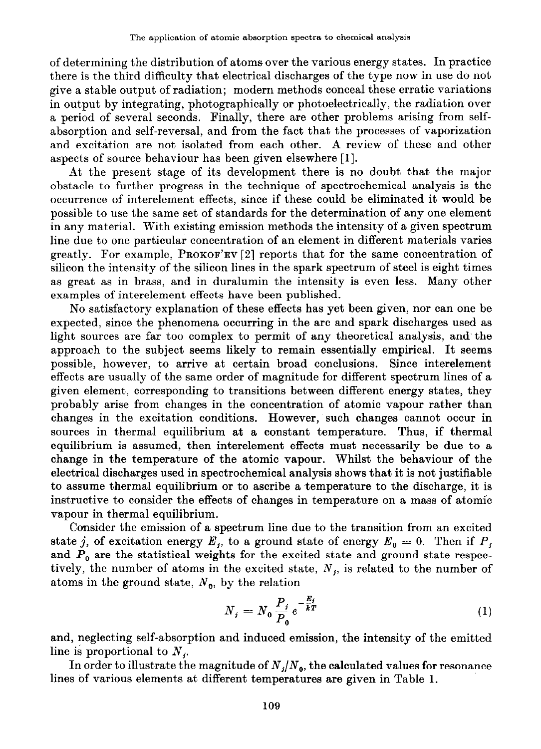of determining the distribution of atoms over the various energy states. In practice there is the third difficulty that electrical discharges of the type now in use do not give a stable output of radiation; modern methods conceal these erratic variations in output by integrating, photographically or photoelectrically, the radiation over a period of several seconds. Finally, there are other problems arising from selfabsorption and self-reversal, and from the fact that the processes of vaporization and excitation are not isolated from each other. A review of these and other aspects of source behaviour has been given elsewhere **[l].** 

At the present stage of its development there is no doubt that the major obstacle to further progress in the technique of spectrochemical analysis is the occurrence of interelement effects, since if these could be eliminated it would be possible to use the same set of standards for the determination of any one element in any material. With existing emission methods the intensity of a given spectrum line due to one particular concentration of an element in different materials varies greatly. For example, PROKOF'EV [2] reports that for the same concentration of silicon the intensity of the silicon lines in the spark spectrum of steel is eight times as great as in brass, and in duralumin the intensity is even less. Many other examples of interelement effects have been published.

No satisfactory explanation of these effects has yet been given, nor can one be expected, since the phenomena occurring in the arc and spark discharges used as light sources are far too complex to permit of any theoretical analysis, and the approach to the subject seems likely to remain essentially empirical. It seems possible, however, to arrive at certain broad conclusions. Since interelement effects are usually of the same order of magnitude for different spectrum lines of a given element, corresponding to transitions between different energy states, they probably arise from changes in the concentration of atomic vapour rather than changes in the excitation conditions. However, such changes cannot occur in sources in thermal equilibrium at a constant temperature. Thus, if thermal equilibrium is assumed, then interelement effects must necessarily be due to a change in the temperature of the atomic vapour. Whilst the behaviour of the electrical discharges used in spectrochemical analysis shows that it is not justifiable to assume thermal equilibrium or to ascribe a temperature to the discharge, it is instructive to consider the effects of changes in temperature on a mass of atomic vapour in thermal equilibrium.

Consider the emission of a spectrum line due to the transition from an excited state j, of excitation energy  $E_j$ , to a ground state of energy  $E_0 = 0$ . Then if  $P_j$ and  $P_0$  are the statistical weights for the excited state and ground state respec tively, the number of atoms in the excited state,  $N_i$ , is related to the number of atoms in the ground state,  $N_{\rm n}$ , by the relation

$$
N_j = N_0 \frac{P_j}{P_0} e^{-\frac{E_j}{kT}} \tag{1}
$$

and, neglecting self-absorption and induced emission, the intensity of the emitted line is proportional to  $N<sub>i</sub>$ .

In order to illustrate the magnitude of  $N_s/N_o$ , the calculated values for resonance lines of various elements at different temperatures are given in Table **1.**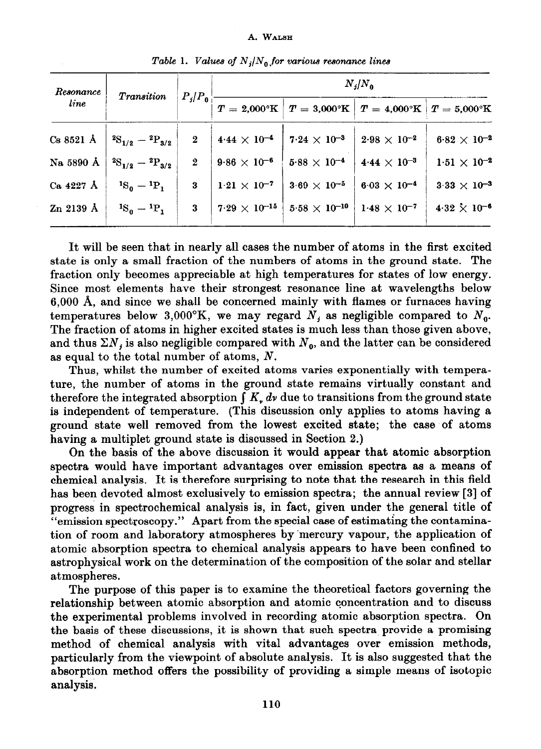#### **A. WALSH**

| Resonance<br>line   | $\label{eq:transitation} \begin{minipage}{0.5\linewidth} \textit{transition} \end{minipage}$             | $P_j/P_0$      | $N_j/N_0$ |                                                                                                             |  |                       |  |
|---------------------|----------------------------------------------------------------------------------------------------------|----------------|-----------|-------------------------------------------------------------------------------------------------------------|--|-----------------------|--|
|                     |                                                                                                          |                |           | $T = 2,000$ <sup>o</sup> K $T = 3,000$ <sup>o</sup> K $T = 4,000$ <sup>o</sup> K $T = 5,000$ <sup>o</sup> K |  |                       |  |
| $Cs 8521 \text{ Å}$ | $\mid {^{2}}S_{1/2} - {^{2}}P_{3/2} \mid$                                                                | $2^{\circ}$    |           | $ 4.44 \times 10^{-4}  7.24 \times 10^{-3}  2.98 \times 10^{-2}$                                            |  | $6.82\times10^{-2}$   |  |
| Na 5890 A           | $3S_{1/2}-2P_{3/2}$                                                                                      | $\overline{2}$ |           | $9.86 \times 10^{-6}$ 5.88 $\times 10^{-4}$ 4.44 $\times 10^{-3}$                                           |  | $1.51 \times 10^{-2}$ |  |
| Ca 4227 Å           | ${}^{1}S_0 - {}^{1}P_1$                                                                                  | $\bf{3}$       |           | $1.21 \times 10^{-7}$ 3.69 $\times$ 10 <sup>-5</sup> 6.03 $\times$ 10 <sup>-4</sup>                         |  | $3.33\times10^{-3}$   |  |
|                     | $\text{Zn } 2139 \text{ Å } \left  \begin{array}{c} 1_{\text{S}_0} - 1_{\text{P}_1} \end{array} \right $ | $\bf 3$        |           | $7.29\times 10^{-15}$ $\mid 5.58\times 10^{-10}$ $\mid$ $1.48\times 10^{-7}$                                |  | $4.32 \times 10^{-6}$ |  |

Table 1. *Values of*  $N_j/N_0$  for various resonance lines

It will be seen that in nearly all cases the number of atoms in the first excited state is only a small fraction of the numbers of atoms in the ground state. The fraction only becomes appreciable at high temperatures for states of low energy. Since most elements have their strongest resonance line at wavelengths below 6,000 A, and since we shall be concerned mainly with flames or furnaces having temperatures below 3,000°K, we may regard  $N_i$  as negligible compared to  $N_0$ . The fraction of atoms in higher excited states is much less than those given above, and thus  $\Sigma N_i$  is also negligible compared with  $N_0$ , and the latter can be considered as equal to the total number of atoms, N.

Thus, whilst the number of excited atoms varies exponentially with temperature, the number of atoms in the ground state remains virtually constant and therefore the integrated absorption  $\int K_y \, dy$  due to transitions from the ground state is independent of temperature. (This discussion only applies to atoms having a ground state well removed from the lowest excited state; the case of atoms having a multiplet ground state is discussed in Section 2.)

On the basis of the above discussion it would appear that atomic absorption spectra would have important advantages over emission spectra as a means of chemical analysis. It is therefore surprising to note that the research in this field has been devoted almost exclusively to emission spectra; the annual review [3] of progress in spectrochemical analysis is, in fact, given under the general title of "emission spectroscopy." Apart from the special case of estimating the contamination of room and laboratory atmospheres by 'mercury vapour, the application of atomic absorption spectra to chemical analysis appears to have been confined to astrophysical work on the determination of the composition of the solar and stellar atmospheres.

The purpose of this paper is to examine the theoretical factors governing the relationship between atomic absorption and atomic concentration and to discuss the experimental problems involved in recording atomic absorption spectra. On the basis of these discussions, it is shown that such spectra, provide a promising method of chemical analysis with vital advantages over emission methods, particularly from the viewpoint of absolute analysis. It is also suggested that the absorption method offers the possibility of providing a simple means of isotopic analysis.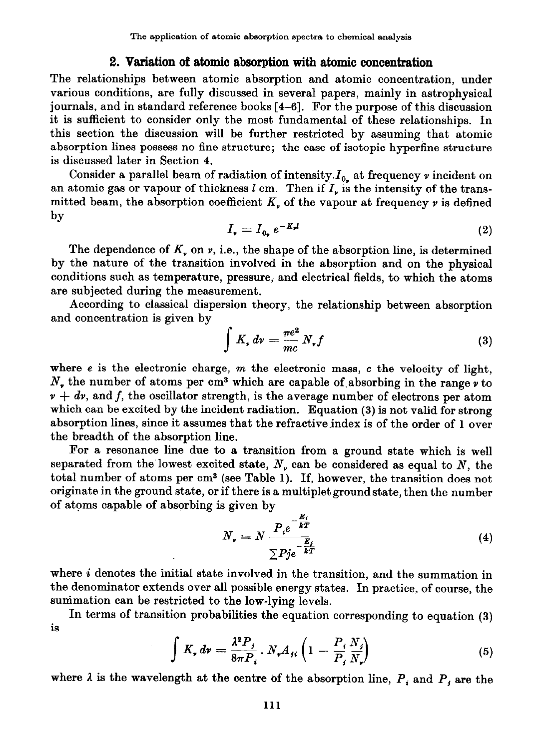### **2. Variation of atomic absorption with atomic concentration**

The relationships between atomic absorption and atomic concentration, under various conditions, are fully discussed in several papers, mainly in astrophysical journals, and in standard reference books **[4-s].** For the purpose of this discussion it is sufficient to consider only the most fundamental of these relationships. In this section the discussion will be further restricted by assuming that atomic absorption lines possess no fine structure; the case of isotopic hyperfine structure is discussed later in Section **4.** 

Consider a parallel beam of radiation of intensity,  $I_{0}$ , at frequency v incident on an atomic gas or vapour of thickness  $l$  cm. Then if  $I_r$  is the intensity of the transmitted beam, the absorption coefficient  $K_r$  of the vapour at frequency  $\nu$  is defined by

$$
I_{\bullet} = I_{0_{\bullet}} e^{-K_{\bullet}l} \tag{2}
$$

The dependence of  $K_r$ , on  $\nu$ , i.e., the shape of the absorption line, is determined by the nature of the transition involved in the absorption and on the physical conditions such as temperature, pressure, and electrical fields, to which the atoms are subjected during the measurement.

According to classical dispersion theory, the relationship between absorption and concentration is given by

$$
\int K_{\nu} dv = \frac{\pi e^2}{mc} N_{\nu} f \tag{3}
$$

where  $e$  is the electronic charge,  $m$  the electronic mass,  $c$  the velocity of light, N, the number of atoms per cm<sup>3</sup> which are capable of absorbing in the range  $\nu$  to  $y + dy$ , and f, the oscillator strength, is the average number of electrons per atom which can be excited by the incident radiation. Equation **(3)** is not valid for strong absorption lines, since it assumes that the refractive index is of the order of 1 over the breadth of the absorption line.

For a resonance line due to a transition from a ground state which is well separated from the lowest excited state,  $N<sub>r</sub>$  can be considered as equal to  $N$ , the total number of atoms per cm3 (see Table **1).** If, however, the transition does not originate in the ground state, or if there is a multiplet ground state, then the number of atoms capable of absorbing is given by

$$
N_r = N \frac{P_i e^{-\frac{B_i}{kT}}}{\sum P j e^{-\frac{B_j}{kT}}}
$$
\n(4)

where i denotes the initial state involved in the transition, and the summation in the denominator extends over all possible energy states. In practice, of course, the sunimation can be restricted to the low-lying levels.

In terms of transition probabilities the equation corresponding to equation (3) is

$$
\int K_{\bullet} d\nu = \frac{\lambda^2 P_j}{8\pi P_i} \cdot N_{\bullet} A_{ji} \left( 1 - \frac{P_i}{P_j} \frac{N_j}{N_{\bullet}} \right) \tag{5}
$$

where  $\lambda$  is the wavelength at the centre of the absorption line,  $P_i$  and  $P_j$  are the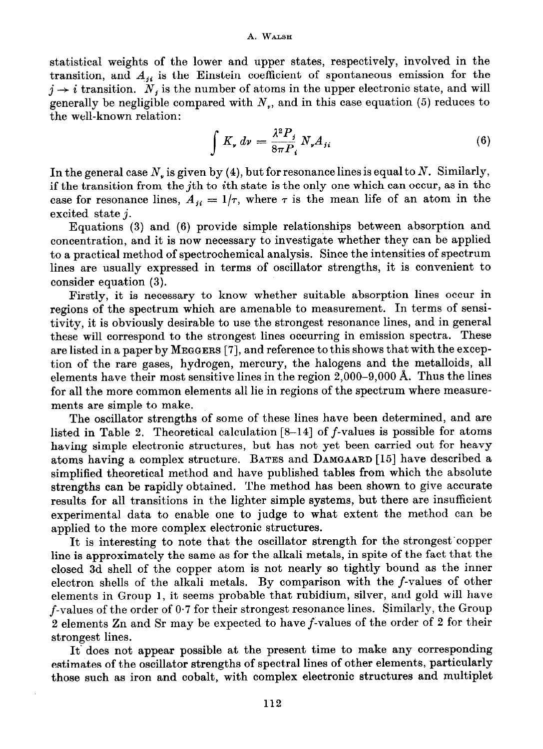#### **A. WALSH**

statistical weights of the lower and upper states, respectively, involved in the transition, and  $A_{ji}$  is the Einstein coefficient of spontaneous emission for the  $j \rightarrow i$  transition.  $N_j$  is the number of atoms in the upper electronic state, and will generally be negligible compared with  $N_{\nu}$ , and in this case equation (5) reduces to the well-known relation:

$$
\int K_{\nu} dv = \frac{\lambda^2 P_j}{8\pi P_i} N_{\nu} A_{ji}
$$
\n(6)

In the general case  $N<sub>s</sub>$  is given by (4), but for resonance lines is equal to N. Similarly, if the transition from the jth to ith state is the only one which can occur, as in the case for resonance lines,  $A_{ji} = 1/\tau$ , where  $\tau$  is the mean life of an atom in the excited state j.

Equations (3) and (6) provide simple relationships between absorption and concentration, and it is now necessary to investigate whether they can be applied to a practical method of spectrochemical analysis. Since the intensities of spectrum lines are usually expressed in terms of oscillator strengths, it is convenient to consider equation (3).

Firstly, it is necessary to know whether suitable absorption lines occur in regions of the spectrum which are amenable to measurement. In terms of sensitivity, it is obviously desirable to use the strongest resonance lines, and in general these will correspond to the strongest lines occurring in emission spectra. These are listed in a paper by **MEGQERS [7],** and reference to this shows that with the exception of the rare gases, hydrogen, mercury, the halogens and the metalloids, all elements have their most sensitive lines in the region  $2,000-9,000$  Å. Thus the lines for all the more common elements all lie in regions of the spectrum where measurements are simple to make.

The oscillator strengths of some of these lines have been determined, and are listed in Table 2. Theoretical calculation **[S-14]** of f-values is possible for atoms having simple electronic structures, but has not yet been carried out for heavy atoms having a complex structure. **BATES** and **DAMGAARD [15]** have described a simplified theoretical method and have published tables from which the absolute strengths can be rapidly obtained. The method has been shown to give accurate results for all transitions in the lighter simple systems, but there are insufficient experimental data to enable one to judge to what extent the method can be applied to the more complex electronic structures.

It is interesting to note that the oscillator strength for the strongest'copper line is approximately the same as for the alkali metals, in spite of the fact that the closed 3d shell of the copper atom is not nearly so tightly bound as the inner electron shells of the alkali metals. By comparison with the f-values of other elements in Group **1,** it seems probable that rubidium, silver, and gold will have  $f$ -values of the order of 0.7 for their strongest resonance lines. Similarly, the Group 2 elements Zn and Sr may be expected to have f-values of the order of 2 for their strongest lines.

It' does not appear possible at the present time to make any corresponding estimates of the oscillator strengths of spectral lines of other elements, particularly those such as iron and cobalt, with complex electronic structures and multiplet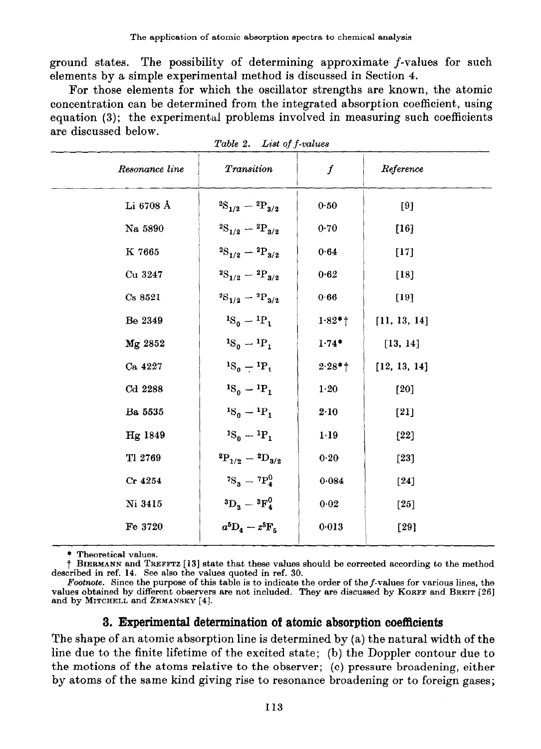ground states. The possibility of determining approximate f-values for such elements by a simple experimental method is discussed in Section **4.** 

For those elements for which the oscillator strengths are known, the atomic concentration can be determined from the integrated absorption coefficient, using equation (3); the experimental problems involved in measuring such coefficients are discussed below.

| Resonance line | Transition                                          | $\boldsymbol{f}$              | Reference    |
|----------------|-----------------------------------------------------|-------------------------------|--------------|
| Li 6708 Å      | ${}^{2}\mathrm{S}_{1/2}$ - ${}^{2}\mathrm{P}_{3/2}$ | 0.50                          | $^{[9]}$     |
| Na 5890        | ${}^{2}S_{1/2} - {}^{2}P_{3/2}$                     | 0.70                          | $[16]$       |
| K 7665         | ${}^{2}S_{1/2} - {}^{2}P_{3/2}$                     | 0.64                          | $[17]$       |
| Cu 3247        | ${}^{2}S_{1/2} - {}^{2}P_{3/2}$                     | 0.62                          | $[18]$       |
| Cs 8521        | ${}^{2}S_{1/2} - {}^{2}P_{3/2}$                     | 0.66                          | $[19]$       |
| Be 2349        | ${}^{1}S_0 - {}^{1}P_1$                             | $1.82$ <sup>*</sup> $\dagger$ | [11, 13, 14] |
| Mg 2852        | $^{1S}0 - ^{1P}1$                                   | $1.74*$                       | [13, 14]     |
| Ca 4227        | ${}^{1}S_{0} - {}^{1}P_{1}$                         | $2.28$ *†                     | [12, 13, 14] |
| Cd 2288        | $^{18}S_0 - ^{1}P_1$                                | 1.20                          | $[20]$       |
| Ba 5535        | $^{18}$ <sub>0</sub> - $^{1}P_1$                    | 2.10                          | [21]         |
| Hg 1849        | $^{1S}0 - ^{1P}1$                                   | $1-19$                        | [22]         |
| Tl 2769        | ${}^{2}\mathrm{P}_{1/2} - {}^{2}\mathrm{D}_{3/2}$   | 0.20                          | [23]         |
| $Cr$ 4254      | $^{7}S_3 - ^{7}P_4^0$                               | 0.084                         | $[24]$       |
| Ni 3415        | ${}^{3}D_{3}-{}^{3}F_{4}^{0}$                       | 0.02                          | [25]         |
| Fe 3720        | $a^5D_4 - z^5F_5$                                   | 0.013                         | $[29]$       |

**\* Theoretical values.** 

**7 BIERMANN and TREFFTZ [13] state that these values should be corrected according to the method**  described in ref. 14. See also the values quoted in ref. 30.<br>**Footnote.** Since the purpose of this table is to indicate the order of the f-values for various lines, the

**values obtained by different observers are not included. They are discussed by KORFF and BREIT [26] and by MITCHELL and ZEMANSKY [a].** 

### 3. Experimental determination of atomic absorption coefficients

The shape of an atomic absorption line is determined by (a) the natural width of the line due to the finite lifetime of the excited state; (b) the Doppler contour due to the motions of the atoms relative to the observer; (c) pressure broadening, either by atoms of the same kind giving rise to resonance broadening or to foreign gases;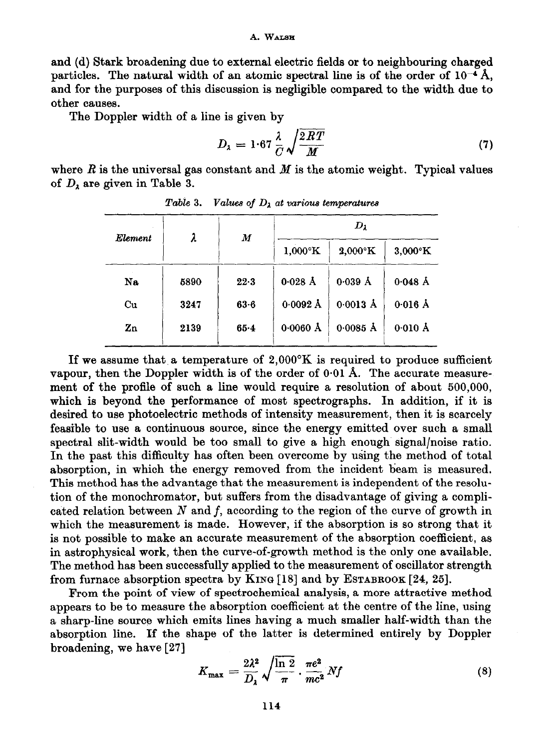**and (d)** Stark broadening due to external electric fields or to neighbouring charged particles. The natural width of an atomic spectral line is of the order of  $10^{-4}$  Å, and for the purposes of this discussion is negligible compared to the width due to other causes.

The Doppler width of a line is given by

$$
D_{\lambda} = 1.67 \frac{\lambda}{C} \sqrt{\frac{2RT}{M}}
$$
 (7)

where  $R$  is the universal gas constant and  $M$  is the atomic weight. Typical values of *D,* are given in Table 3.

| Element       | λ    | M        | $D_{\lambda}$          |                        |                        |
|---------------|------|----------|------------------------|------------------------|------------------------|
|               |      |          | $1,000$ <sup>o</sup> K | $2,000$ <sup>o</sup> K | $3.000$ <sup>o</sup> K |
| Na            | 5890 | 22.3     | $0.028$ Å              | $0.039$ Å              | $0.048$ Å              |
| Cu            | 3247 | $63 - 6$ | $0.0092$ Å             | $0.0013$ Å             | $0.016$ Å              |
| $\mathbf{Zn}$ | 2139 | $65 - 4$ | $0.0060$ Å             | $0.0085$ Å             | $0.010 \; \rm \AA$     |

Table 3. Values of  $D_{\lambda}$  at various temperatures

If we assume that a temperature of  $2,000^{\circ}$ K is required to produce sufficient vapour, then the Doppler width is of the order of  $0.01 \text{ Å}$ . The accurate measurement of the profile of such a line would require a resolution of about 500,000, which is beyond the performance of most spectrographs. In addition, if it is desired to use photoelectric methods of intensity measurement, then it is scarcely feasible to use a continuous source, since **the** energy emitted over such a small spectral slit-width would be too small to give a high enough signal/noise ratio. In the past this difficulty has often been overcome by using the method of total absorption, in which the energy removed from the incident beam is measured. This method has the advantage that the measurement is independent of the resolution of the monochromator, but suffers from the disadvantage of giving a complicated relation between N and *f,* according to the region of the curve of growth in which the measurement is made. However, if the absorption is so strong that it is not possible to make an accurate measurement of the absorption coefficient, a8 in astrophysical work, then the curve-of-growth method is the only one available. The method has been successfully applied to the measurement of oscillator strength from furnace absorption spectra **by KING [18] and by ESTABROOK [24, 251.** 

**From** the point of view of spectrochemical analysis, a more attractive method appears to be to measure the absorption coefficient at the centre of the line, using a sharp-line source which emits lines having a much smaller half-width than the absorption line. If the shape of the latter is determined entirely by Doppler broadening, we have [27]

$$
K_{\max} = \frac{2\lambda^2}{D_\lambda} \sqrt{\frac{\ln 2}{\pi}} \cdot \frac{\pi e^2}{mc^2} Nf \tag{8}
$$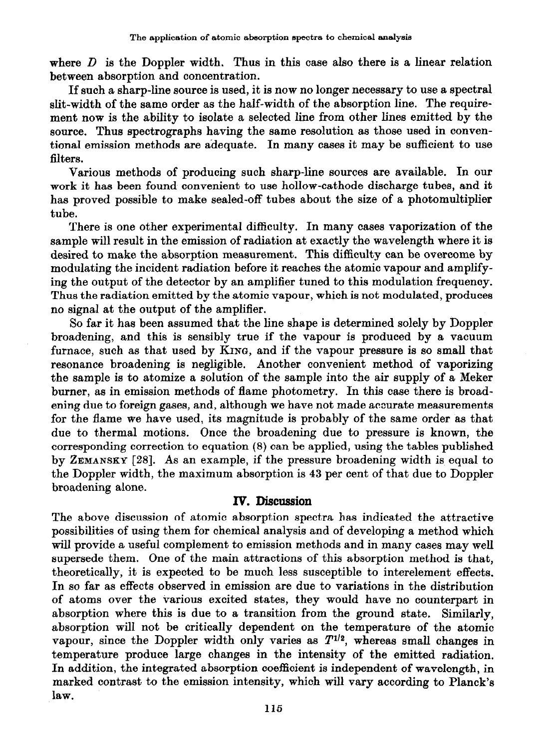where  $D$  is the Doppler width. Thus in this case also there is a linear relation between absorption and concentration.

If such a sharp-line source is used, it is now no longer necessary to use a spectral slit-width of the same order as the half-width of the absorption line. The requirement now is the ability to isolate a selected line from other lines emitted by the source. Thus spectrographs having the same resolution as those used in conventional emission methods are adequate. In many cases it may be sufficient to use filters.

Various methods of producing such sharp-line sources are available. In our work it has been found convenient to use hollow-cathode discharge tubes, and it has proved possible to make sealed-off tubes about the size of a photomultiplier tube.

There is one other experimental difficulty. In many cases vaporization of the sample will result in the emission of radiation at exactly the wavelength where it is desired to make the absorption measurement. This difficulty can be overcome by modulating the incident radiation before it reaches the atomic vapour and amplifying the output of the detector by an amplifier tuned to this modulation frequency. Thus the radiation emitted by the atomic vapour, which is not modulated, produces no signal at the output of the amplifier.

So far it has been assumed that the line shape is determined solely by Doppler broadening, and this is sensibly true if the vapour is produced by a vacuum furnace, such as that used by **KING,** and if the vapour pressure is so small that resonance broadening is negligible. Another convenient method of vaporizing the sample is to atomize a solution of the sample into the air supply of a Meker burner, as in emission methods of flame photometry. In this case there is broadening due to foreign gases, and, although we have not made accurate measurements for the flame we have used, its magnitude is probably of the same order as that due to thermal motions. Once the broadening due to pressure is known, the corresponding correction to equation (8) can be applied, using the tables published by ZEMANSKY [28]. As an example, if the pressure broadening width is equal to the Doppler width, the maximum absorption is 43 per cent of that due to Doppler broadening alone.

## IV. **Discussion**

The above discussion of atomic absorption spectra has indicated the attractive possibilities of using them for chemical analysis and of developing a method which will provide a useful complement to emission methods and in many cases may well supersede them. One of the main attractions of this absorption method is that, theoretically, it is expected to be much less susceptible to interelement effects. In so far as effects observed in emission are due to variations in the distribution of atoms over the tarious excited states, they would have no counterpart in absorption where this is due to a transition from the ground state. Similarly, absorption will not be critically dependent on the temperature of the atomic vapour, since the Doppler width only varies as  $T^{1/2}$ , whereas small changes in temperature produce large changes in the intensity of the emitted radiation. In addition, the integrated absorption coefficient is independent of wavelength, **in**  marked contrast to the emission intensity, which will vary according to Planck's law.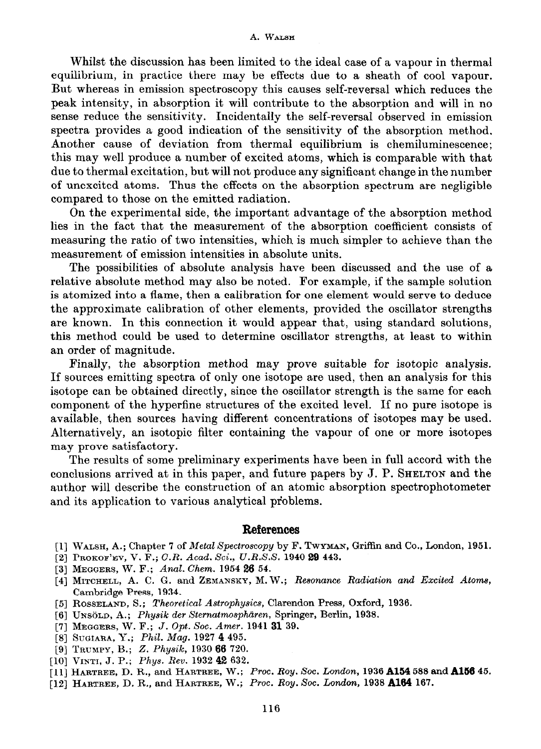Whilst the discussion has been limited to the ideal case of a vapour in thermal equilibrium, in practice there may be effects due to a sheath of cool vapour. But whereas in emission spectroscopy this causes self-reversal which reduces the peak intensity, in absorption it will contribute to the absorption and will in no sense reduce the sensitivity. Incidentally the self-reversal observed in emission spectra provides a good indication of the sensitivity of the absorption method. Another cause of deviation from thermal equilibrium is chemiluminescence; this may well produce a number of excited atoms, which is comparable with that due to thermal excitation, but will not produce any significant change in the number of unexcited atoms. Thus the effects on the absorption spectrum are negligible compared to those on the emitted radiation.

On the experimental side, the important advantage of the absorption method lies in the fact that the measurement of the absorption coefficient consists of measuring the ratio of two intensities, which is much simpler to achieve than the measurement of emission intensities in absolute units.

The possibilities of absolute analysis have been discussed and the use of a relative absolute method may also be noted. For example, if the sample solution is atomized into a flame, then a calibration for one element would serve to deduce the approximate calibration of other elements, provided the oscillator strengths are known. In this connection it would appear that, using standard solutions, this method could be used to determine oscillator strengths, at least to within an order of magnitude.

Finally, the absorption method may prove suitable for isotopic analysis. If sources emitting spectra of only one isotope are used, then an analysis for this isotope can be obtained directly, since the oscillator strength is the same for each component of the hyperfine structures of the excited level. If no pure isotope is available, then sources having different concentrations of isotopes may be used. Alternatively, an isotopic filter containing the vapour of one or more isotopes may prove satisfactory.

The results of some preliminary experiments have been in full accord with the conclusions arrived at in this paper, and future papers by J. P. SHELTON and the author will describe the construction of an atomic absorption spectrophotometer and its application to various analytical problems.

#### **References**

- [1] WALSH, A.; Chapter 7 of *Metal Spectroscopy* by F. TWYMAN, Griffin and Co., London, 1951.
- **[Z] PROKOF'EV, V. F.;** *C.R. Acad.* **Sci.,** *U.R.S.S.* **1940** 29 443.
- [3] **MEDOERS, W. F.;** *Anal. Chem. 1954* 26 54.
- [4] **MITCHELL, A. C. G. and ZEMANSKY, M. W.;** *Resonance Radiation and Excited Atoms,*  **Cambridge Press, 1934.**
- **[5] ROSSELAND, S.;** *Theoretical Astrophysics,* **Clarendon Press, Oxford, 1936.**
- **[6] UNS~~LD, A.;** *Physik der Sternatmosphliren,* **Springer, Berlin, 1938.**
- **[7] MEGGERS, W. F.; J.** *Opt. Sot. Amer.* **1941** *31 39.*
- *[8]* **SUGIARA, Y.;** *Phil. Mag.* **1927 4 495.**
- **[9] TRUMPY, B.; 2.** *Physik, 1930 66 720.*
- **[lo] VINTI, J. P.;** *Phys. Rev.* **1932 42 632.**
- **[ll] HARTREE, D. R., and HARTREE,** W.; *Proc. Roy. Sot. London,* **1936** A154 588 and A166 45.
- **[12] HARTREE, D. R., and HARTREE,** W.; *Proc. Roy. Sot. Londan,* **1938** Al04 167.